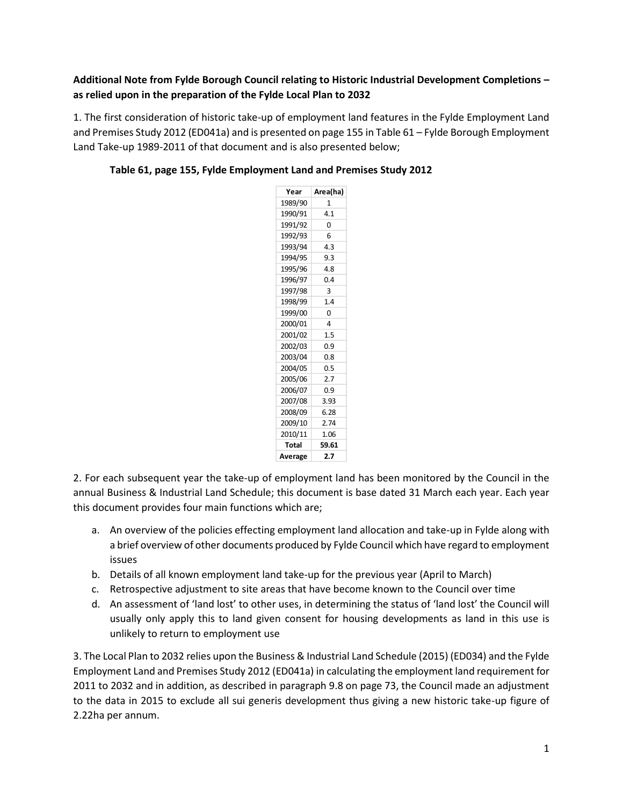## **Additional Note from Fylde Borough Council relating to Historic Industrial Development Completions – as relied upon in the preparation of the Fylde Local Plan to 2032**

1. The first consideration of historic take-up of employment land features in the Fylde Employment Land and Premises Study 2012 (ED041a) and is presented on page 155 in Table 61 – Fylde Borough Employment Land Take-up 1989-2011 of that document and is also presented below;

| Year         | Area(ha) |  |
|--------------|----------|--|
| 1989/90      | 1        |  |
| 1990/91      | 4.1      |  |
| 1991/92      | 0        |  |
| 1992/93      | 6        |  |
| 1993/94      | 4.3      |  |
| 1994/95      | 9.3      |  |
| 1995/96      | 4.8      |  |
| 1996/97      | 0.4      |  |
| 1997/98      | 3        |  |
| 1998/99      | 1.4      |  |
| 1999/00      | 0        |  |
| 2000/01      | 4        |  |
| 2001/02      | 1.5      |  |
| 2002/03      | 0.9      |  |
| 2003/04      | 0.8      |  |
| 2004/05      | 0.5      |  |
| 2005/06      | 2.7      |  |
| 2006/07      | 0.9      |  |
| 2007/08      | 3.93     |  |
| 2008/09      | 6.28     |  |
| 2009/10      | 2.74     |  |
| 2010/11      | 1.06     |  |
| <b>Total</b> | 59.61    |  |
| Average      | 2.7      |  |

## **Table 61, page 155, Fylde Employment Land and Premises Study 2012**

2. For each subsequent year the take-up of employment land has been monitored by the Council in the annual Business & Industrial Land Schedule; this document is base dated 31 March each year. Each year this document provides four main functions which are;

- a. An overview of the policies effecting employment land allocation and take-up in Fylde along with a brief overview of other documents produced by Fylde Council which have regard to employment issues
- b. Details of all known employment land take-up for the previous year (April to March)
- c. Retrospective adjustment to site areas that have become known to the Council over time
- d. An assessment of 'land lost' to other uses, in determining the status of 'land lost' the Council will usually only apply this to land given consent for housing developments as land in this use is unlikely to return to employment use

3. The Local Plan to 2032 relies upon the Business & Industrial Land Schedule (2015) (ED034) and the Fylde Employment Land and Premises Study 2012 (ED041a) in calculating the employment land requirement for 2011 to 2032 and in addition, as described in paragraph 9.8 on page 73, the Council made an adjustment to the data in 2015 to exclude all sui generis development thus giving a new historic take-up figure of 2.22ha per annum.